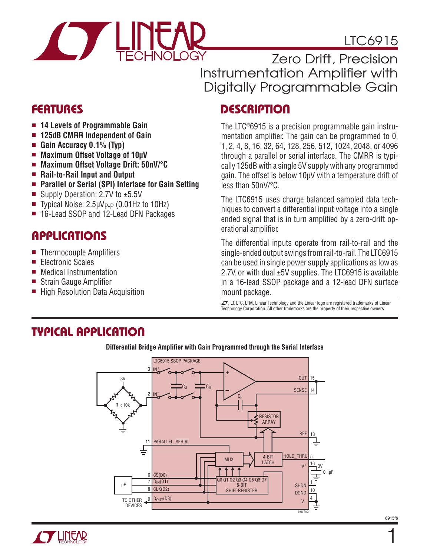

## LTC6915

Zero Drift, Precision Instrumentation Amplifier with Digitally Programmable Gain

- 14 Levels of Programmable Gain
- <sup>n</sup> **125dB CMRR Independent of Gain**
- Gain Accuracy 0.1% (Typ)
- Maximum Offset Voltage of 10uV
- Maximum Offset Voltage Drift: 50nV/°C
- Rail-to-Rail Input and Output
- Parallel or Serial (SPI) Interface for Gain Setting
- Supply Operation: 2.7V to  $±5.5V$
- Typical Noise:  $2.5\mu V_{P-P}$  (0.01Hz to 10Hz)
- 16-Lead SSOP and 12-Lead DFN Packages

### **APPLICATIONS**

- $\blacksquare$  Thermocouple Amplifiers
- Electronic Scales
- **n** Medical Instrumentation
- Strain Gauge Amplifier
- High Resolution Data Acquisition

### Features Description

The LTC®6915 is a precision programmable gain instrumentation amplifier. The gain can be programmed to 0, 1, 2, 4, 8, 16, 32, 64, 128, 256, 512, 1024, 2048, or 4096 through a parallel or serial interface. The CMRR is typically 125dB with a single 5V supply with any programmed gain. The offset is below 10µV with a temperature drift of less than 50nV/°C.

The LTC6915 uses charge balanced sampled data techniques to convert a differential input voltage into a single ended signal that is in turn amplified by a zero-drift operational amplifier.

The differential inputs operate from rail-to-rail and the single-ended output swings from rail-to-rail. The LTC6915 can be used in single power supply applications as low as 2.7V, or with dual ±5V supplies. The LTC6915 is available in a 16-lead SSOP package and a 12-lead DFN surface mount package.

 $\overline{\mathcal{I}\mathcal{I}}$ , LT, LTC, LTM, Linear Technology and the Linear logo are registered trademarks of Linear Technology Corporation. All other trademarks are the property of their respective owners

### Typical Application



**Differential Bridge Amplifier with Gain Programmed through the Serial Interface**



1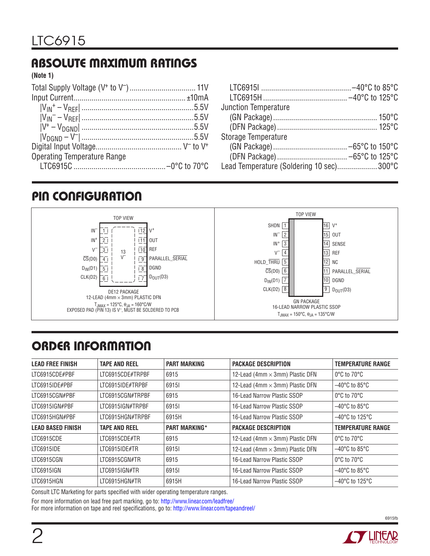### Absolute Maximum Ratings

**(Note 1)**

| <b>Operating Temperature Range</b> |  |
|------------------------------------|--|
|                                    |  |

| <b>Junction Temperature</b>              |  |
|------------------------------------------|--|
|                                          |  |
|                                          |  |
|                                          |  |
| <b>Storage Temperature</b>               |  |
|                                          |  |
|                                          |  |
| Lead Temperature (Soldering 10 sec)300°C |  |

### PIN CONFIGURATION



### ORDER INFORMATION

| <b>LEAD FREE FINISH</b>  | <b>TAPE AND REEL</b> | <b>PART MARKING</b>  | <b>PACKAGE DESCRIPTION</b>             | <b>TEMPERATURE RANGE</b>            |
|--------------------------|----------------------|----------------------|----------------------------------------|-------------------------------------|
| LTC6915CDE#PBF           | LTC6915CDE#TRPBF     | 6915                 | 12-Lead (4mm × 3mm) Plastic DFN        | $0^{\circ}$ C to $70^{\circ}$ C     |
| LTC6915IDE#PBF           | LTC6915IDE#TRPBF     | 69151                | 12-Lead (4mm × 3mm) Plastic DFN        | $-40^{\circ}$ C to 85 $^{\circ}$ C  |
| LTC6915CGN#PBF           | LTC6915CGN#TRPBF     | 6915                 | 16-Lead Narrow Plastic SSOP            | $0^{\circ}$ C to $70^{\circ}$ C     |
| LTC6915IGN#PBF           | LTC6915IGN#TRPBF     | 69151                | 16-Lead Narrow Plastic SSOP            | $-40^{\circ}$ C to 85 $^{\circ}$ C  |
| LTC6915HGN#PBF           | LTC6915HGN#TRPBF     | 6915H                | 16-Lead Narrow Plastic SSOP            | $-40^{\circ}$ C to 125 $^{\circ}$ C |
| <b>LEAD BASED FINISH</b> | <b>TAPE AND REEL</b> | <b>PART MARKING*</b> | <b>PACKAGE DESCRIPTION</b>             | <b>TEMPERATURE RANGE</b>            |
| LTC6915CDE               | LTC6915CDE#TR        | 6915                 | 12-Lead (4mm $\times$ 3mm) Plastic DFN | $0^{\circ}$ C to $70^{\circ}$ C     |
| LTC6915IDE               | LTC6915IDE#TR        | 69151                | 12-Lead (4mm × 3mm) Plastic DFN        | $-40^{\circ}$ C to 85 $^{\circ}$ C  |
| LTC6915CGN               | LTC6915CGN#TR        | 6915                 | 16-Lead Narrow Plastic SSOP            | $0^{\circ}$ C to $70^{\circ}$ C     |
| LTC6915IGN               | LTC6915IGN#TR        | 69151                | 16-Lead Narrow Plastic SSOP            | $-40^{\circ}$ C to 85 $^{\circ}$ C  |
| LTC6915HGN               | LTC6915HGN#TR        | 6915H                | 16-Lead Narrow Plastic SSOP            | $-40^{\circ}$ C to 125 $^{\circ}$ C |

Consult LTC Marketing for parts specified with wider operating temperature ranges.

For more information on lead free part marking, go to: http://www.linear.com/leadfree/

For more information on tape and reel specifications, go to: http://www.linear.com/tapeandreel/

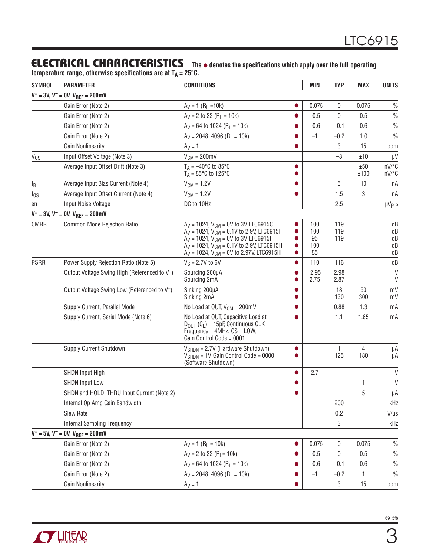temperature range, otherwise specifications are at T<sub>A</sub> = 25°C.

| <b>SYMBOL</b> | <b>PARAMETER</b>                                          | <b>CONDITIONS</b>                                                                                                                                                                                                                                       |           | MIN                           | <b>TYP</b>        | <b>MAX</b>            | <b>UNITS</b>               |
|---------------|-----------------------------------------------------------|---------------------------------------------------------------------------------------------------------------------------------------------------------------------------------------------------------------------------------------------------------|-----------|-------------------------------|-------------------|-----------------------|----------------------------|
|               | $V^+ = 3V$ , $V^- = 0V$ , $V_{REF} = 200$ mV              |                                                                                                                                                                                                                                                         |           |                               |                   |                       |                            |
|               | Gain Error (Note 2)                                       | $A_V = 1 (R_L = 10k)$                                                                                                                                                                                                                                   |           | $-0.075$                      | 0                 | 0.075                 | $\frac{0}{0}$              |
|               | Gain Error (Note 2)                                       | $A_V = 2$ to 32 (R <sub>L</sub> = 10k)                                                                                                                                                                                                                  |           | $-0.5$                        | 0                 | 0.5                   | $\%$                       |
|               | Gain Error (Note 2)                                       | $A_V = 64$ to 1024 (R <sub>1</sub> = 10k)                                                                                                                                                                                                               |           | $-0.6$                        | $-0.1$            | 0.6                   | $\frac{0}{0}$              |
|               | Gain Error (Note 2)                                       | $A_V = 2048, 4096$ (R <sub>L</sub> = 10k)                                                                                                                                                                                                               |           | $-1$                          | $-0.2$            | 1.0                   | $\frac{0}{0}$              |
|               | <b>Gain Nonlinearity</b>                                  | $A_V = 1$                                                                                                                                                                                                                                               |           |                               | 3                 | 15                    | ppm                        |
| $V_{OS}$      | Input Offset Voltage (Note 3)                             | $V_{CM} = 200$ mV                                                                                                                                                                                                                                       |           |                               | $-3$              | ±10                   | $\mu$ V                    |
|               | Average Input Offset Drift (Note 3)                       | $T_A = -40^{\circ}C$ to 85°C<br>$T_A = 85^{\circ}$ C to 125°C                                                                                                                                                                                           |           |                               |                   | ±50<br>±100           | nV/°C<br>nV/°C             |
| IB            | Average Input Bias Current (Note 4)                       | $V_{CM} = 1.2V$                                                                                                                                                                                                                                         |           |                               | 5                 | 10                    | nA                         |
| $I_{OS}$      | Average Input Offset Current (Note 4)                     | $V_{CM} = 1.2V$                                                                                                                                                                                                                                         |           |                               | 1.5               | 3                     | пA                         |
| en            | Input Noise Voltage                                       | DC to 10Hz                                                                                                                                                                                                                                              |           |                               | 2.5               |                       | $\mu V_{P-P}$              |
|               | $V^+ = 3V$ , $V^- = 0V$ , $V_{REF} = 200$ mV              |                                                                                                                                                                                                                                                         |           |                               |                   |                       |                            |
| <b>CMRR</b>   | Common Mode Rejection Ratio                               | $A_V = 1024$ , $V_{CM} = 0V$ to 3V, LTC6915C<br>$A_V = 1024$ , $V_{CM} = 0.1V$ to 2.9V, LTC6915I<br>$A_V = 1024$ , $V_{CM} = 0V$ to 3V, LTC6915I<br>$A_V = 1024$ , $V_{CM} = 0.1V$ to 2.9V, LTC6915H<br>$A_V = 1024$ , $V_{CM} = 0V$ to 2.97V, LTC6915H |           | 100<br>100<br>95<br>100<br>85 | 119<br>119<br>119 |                       | dB<br>dB<br>dB<br>dB<br>dB |
| <b>PSRR</b>   | Power Supply Rejection Ratio (Note 5)                     | $V_S = 2.7V$ to 6V                                                                                                                                                                                                                                      |           | 110                           | 116               |                       | dB                         |
|               | Output Voltage Swing High (Referenced to V <sup>-</sup> ) | Sourcing 200µA<br>Sourcing 2mA                                                                                                                                                                                                                          |           | 2.95<br>2.75                  | 2.98<br>2.87      |                       | V<br>$\vee$                |
|               | Output Voltage Swing Low (Referenced to V <sup>-</sup> )  | Sinking 200µA<br>Sinking 2mA                                                                                                                                                                                                                            |           |                               | 18<br>130         | 50<br>300             | mV<br>mV                   |
|               | Supply Current, Parallel Mode                             | No Load at OUT, $V_{CM} = 200$ mV                                                                                                                                                                                                                       |           |                               | 0.88              | 1.3                   | mA                         |
|               | Supply Current, Serial Mode (Note 6)                      | No Load at OUT, Capacitive Load at<br>$D_{\text{OUT}}(C_L) = 15pF$ , Continuous CLK<br>Frequency = $4MHz$ , $\overline{CS}$ = LOW,<br>Gain Control Code = 0001                                                                                          |           |                               | 1.1               | 1.65                  | mA                         |
|               | Supply Current Shutdown                                   | $V_{\text{SHDN}} = 2.7V$ (Hardware Shutdown)<br>$V_{\text{SHDN}}$ = 1V, Gain Control Code = 0000<br>(Software Shutdown)                                                                                                                                 | $\bullet$ |                               | 1<br>125          | $\overline{4}$<br>180 | μA<br>μA                   |
|               | <b>SHDN Input High</b>                                    |                                                                                                                                                                                                                                                         |           | 2.7                           |                   |                       | V                          |
|               | <b>SHDN Input Low</b>                                     |                                                                                                                                                                                                                                                         |           |                               |                   | 1                     | $\vee$                     |
|               | SHDN and HOLD_THRU Input Current (Note 2)                 |                                                                                                                                                                                                                                                         |           |                               |                   | 5                     | μA                         |
|               | Internal Op Amp Gain Bandwidth                            |                                                                                                                                                                                                                                                         |           |                               | 200               |                       | kHz                        |
|               | Slew Rate                                                 |                                                                                                                                                                                                                                                         |           |                               | 0.2               |                       | $V/\mu s$                  |
|               | <b>Internal Sampling Frequency</b>                        |                                                                                                                                                                                                                                                         |           |                               | 3                 |                       | kHz                        |
|               | $V^+ = 5V$ , $V^- = 0V$ , $V_{REF} = 200$ mV              |                                                                                                                                                                                                                                                         |           |                               |                   |                       |                            |
|               | Gain Error (Note 2)                                       | $A_V = 1 (R_L = 10k)$                                                                                                                                                                                                                                   |           | $-0.075$                      | $\mathbf 0$       | 0.075                 | $\frac{0}{0}$              |
|               | Gain Error (Note 2)                                       | $Ay = 2$ to 32 (R <sub>L</sub> = 10k)                                                                                                                                                                                                                   |           | $-0.5$                        | $\mathbf 0$       | 0.5                   | $\frac{0}{0}$              |
|               | Gain Error (Note 2)                                       | $A_V = 64$ to 1024 (R <sub>L</sub> = 10k)                                                                                                                                                                                                               |           | $-0.6$                        | $-0.1$            | 0.6                   | $\frac{0}{0}$              |
|               | Gain Error (Note 2)                                       | $A_V = 2048, 4096$ (R <sub>L</sub> = 10k)                                                                                                                                                                                                               |           | $-1$                          | $-0.2$            | 1.                    | $\frac{0}{0}$              |
|               | <b>Gain Nonlinearity</b>                                  | $A_V = 1$                                                                                                                                                                                                                                               |           |                               | 3                 | 15                    | ppm                        |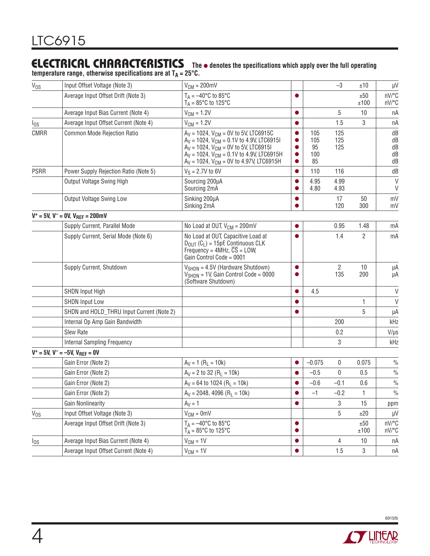**temperature range, otherwise specifications are at TA = 25°C.**

| $V_{OS}$    | Input Offset Voltage (Note 3)                | $V_{CM} = 200$ mV                                                                                                                                                                                                                                       |                        |                               | $-3$                  | ±10          | μV                         |
|-------------|----------------------------------------------|---------------------------------------------------------------------------------------------------------------------------------------------------------------------------------------------------------------------------------------------------------|------------------------|-------------------------------|-----------------------|--------------|----------------------------|
|             | Average Input Offset Drift (Note 3)          | $T_A = -40$ °C to 85°C<br>$T_A = 85^\circ \text{C}$ to 125°C                                                                                                                                                                                            |                        |                               |                       | ±50<br>±100  | nV/°C<br>nV/°C             |
|             | Average Input Bias Current (Note 4)          | $V_{CM} = 1.2V$                                                                                                                                                                                                                                         |                        |                               | 5                     | 10           | nA                         |
| $I_{OS}$    | Average Input Offset Current (Note 4)        | $V_{CM} = 1.2V$                                                                                                                                                                                                                                         |                        |                               | 1.5                   | 3            | пA                         |
| <b>CMRR</b> | Common Mode Rejection Ratio                  | $A_V = 1024$ , $V_{CM} = 0V$ to 5V, LTC6915C<br>$A_V = 1024$ , $V_{CM} = 0.1V$ to 4.9V, LTC6915I<br>$A_V = 1024$ , $V_{CM} = 0V$ to 5V, LTC6915I<br>$A_V = 1024$ , $V_{CM} = 0.1V$ to 4.9V, LTC6915H<br>$A_V = 1024$ , $V_{CM} = 0V$ to 4.97V, LTC6915H | $\bullet$<br>$\bullet$ | 105<br>105<br>95<br>100<br>85 | 125<br>125<br>125     |              | dB<br>dB<br>dB<br>dB<br>dB |
| <b>PSRR</b> | Power Supply Rejection Ratio (Note 5)        | $V_S = 2.7V$ to 6V                                                                                                                                                                                                                                      |                        | 110                           | 116                   |              | dB                         |
|             | Output Voltage Swing High                    | Sourcing 200µA<br>Sourcing 2mA                                                                                                                                                                                                                          |                        | 4.95<br>4.80                  | 4.99<br>4.93          |              | $\vee$<br>$\vee$           |
|             | Output Voltage Swing Low                     | Sinking 200µA<br>Sinking 2mA                                                                                                                                                                                                                            |                        |                               | 17<br>120             | 50<br>300    | mV<br>mV                   |
|             | $V^+ = 5V$ , $V^- = 0V$ , $V_{REF} = 200$ mV |                                                                                                                                                                                                                                                         |                        |                               |                       |              |                            |
|             | Supply Current, Parallel Mode                | No Load at OUT, $V_{CM} = 200$ mV                                                                                                                                                                                                                       |                        |                               | 0.95                  | 1.48         | mA                         |
|             | Supply Current, Serial Mode (Note 6)         | No Load at OUT, Capacitive Load at<br>$D_{\text{OUT}}(C_L) = 15pF$ , Continuous CLK<br>Frequency = $4MHz$ , $\overline{CS}$ = LOW,<br>Gain Control Code = 0001                                                                                          |                        |                               | 1.4                   | 2            | mA                         |
|             | Supply Current, Shutdown                     | $V_{\text{SHDN}} = 4.5V$ (Hardware Shutdown)<br>$V_{SHDN}$ = 1V, Gain Control Code = 0000<br>(Software Shutdown)                                                                                                                                        | 0                      |                               | $\overline{2}$<br>135 | 10<br>200    | μA<br>μA                   |
|             | <b>SHDN Input High</b>                       |                                                                                                                                                                                                                                                         |                        | 4.5                           |                       |              | V                          |
|             | <b>SHDN Input Low</b>                        |                                                                                                                                                                                                                                                         |                        |                               |                       | 1            | $\vee$                     |
|             | SHDN and HOLD_THRU Input Current (Note 2)    |                                                                                                                                                                                                                                                         |                        |                               |                       | 5            | μA                         |
|             | Internal Op Amp Gain Bandwidth               |                                                                                                                                                                                                                                                         |                        |                               | 200                   |              | kHz                        |
|             | Slew Rate                                    |                                                                                                                                                                                                                                                         |                        |                               | 0.2                   |              | $V/\mu s$                  |
|             | <b>Internal Sampling Frequency</b>           |                                                                                                                                                                                                                                                         |                        |                               | 3                     |              | kHz                        |
|             | $V^+ = 5V$ , $V^- = -5V$ , $V_{REF} = 0V$    |                                                                                                                                                                                                                                                         |                        |                               |                       |              |                            |
|             | Gain Error (Note 2)                          | $A_V = 1 (R_L = 10k)$                                                                                                                                                                                                                                   |                        | $-0.075$                      | 0                     | 0.075        | $\frac{0}{0}$              |
|             | Gain Error (Note 2)                          | $A_V = 2$ to 32 (R <sub>1</sub> = 10k)                                                                                                                                                                                                                  |                        | $-0.5$                        | $\mathbf{0}$          | 0.5          | $\frac{0}{0}$              |
|             | Gain Error (Note 2)                          | $A_V = 64$ to 1024 (R <sub>L</sub> = 10k)                                                                                                                                                                                                               |                        | $-0.6$                        | $-0.1$                | 0.6          | $\frac{0}{0}$              |
|             | Gain Error (Note 2)                          | $A_V = 2048, 4096 (R_L = 10k)$                                                                                                                                                                                                                          |                        | $-1$                          | $-0.2$                | 1            | $\%$                       |
|             | <b>Gain Nonlinearity</b>                     | $A_V = 1$                                                                                                                                                                                                                                               | O                      |                               | 3                     | 15           | ppm                        |
| $V_{OS}$    | Input Offset Voltage (Note 3)                | $V_{CM} = 0$ mV                                                                                                                                                                                                                                         |                        |                               | 5                     | ±20          | $\mu V$                    |
|             | Average Input Offset Drift (Note 3)          | $T_A = -40$ °C to 85°C<br>$T_A = 85^{\circ}$ C to 125°C                                                                                                                                                                                                 |                        |                               |                       | ±50<br>±100  | nV/°C<br>nV/°C             |
| $I_{OS}$    | Average Input Bias Current (Note 4)          | $V_{CM} = 1V$                                                                                                                                                                                                                                           | ●                      |                               | 4                     | 10           | пA                         |
|             | Average Input Offset Current (Note 4)        | $V_{CM} = 1V$                                                                                                                                                                                                                                           |                        |                               | 1.5                   | $\mathbf{3}$ | nA                         |

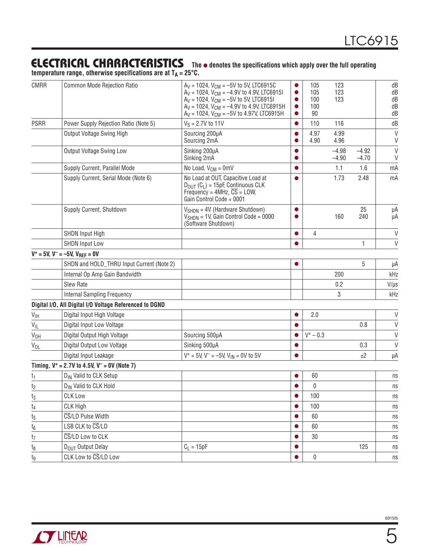temperature range, otherwise specifications are at T<sub>A</sub> = 25°C.

| <b>CMRR</b>     | Common Mode Rejection Ratio                             | $A_V = 1024$ , $V_{CM} = -5V$ to 5V, LTC6915C<br>$A_V = 1024$ , $V_{CM} = -4.9V$ to 4.9V, LTC6915I<br>$A_V = 1024$ , $V_{CM} = -5V$ to 5V, LTC6915I<br>$A_V = 1024$ , $V_{CM} = -4.9V$ to 4.9V, LTC6915H<br>$A_V = 1024$ , $V_{CM} = -5V$ to 4.97V, LTC6915H | $\bullet$<br>$\bullet$ | 105<br>105<br>100<br>100<br>90 | 123<br>123<br>123  |                    | dB<br>dB<br>dB<br>dB<br>dB |
|-----------------|---------------------------------------------------------|--------------------------------------------------------------------------------------------------------------------------------------------------------------------------------------------------------------------------------------------------------------|------------------------|--------------------------------|--------------------|--------------------|----------------------------|
| <b>PSRR</b>     | Power Supply Rejection Ratio (Note 5)                   | $V_S = 2.7V$ to 11V                                                                                                                                                                                                                                          |                        | 110                            | 116                |                    | dB                         |
|                 | Output Voltage Swing High                               | Sourcing 200µA<br>Sourcing 2mA                                                                                                                                                                                                                               |                        | 4.97<br>4.90                   | 4.99<br>4.96       |                    | $\vee$<br>V                |
|                 | Output Voltage Swing Low                                | Sinking 200µA<br>Sinking 2mA                                                                                                                                                                                                                                 |                        |                                | $-4.98$<br>$-4.90$ | $-4.92$<br>$-4.70$ | $\vee$<br>V                |
|                 | Supply Current, Parallel Mode                           | No Load, $V_{CM} = 0$ mV                                                                                                                                                                                                                                     |                        |                                | 1.1                | 1.6                | mA                         |
|                 | Supply Current, Serial Mode (Note 6)                    | No Load at OUT, Capacitive Load at<br>$D_{OIII}$ (C <sub>I</sub> ) = 15pF, Continuous CLK<br>Frequency = $4MHz$ , $\overline{CS}$ = LOW,<br>Gain Control Code = 0001                                                                                         |                        |                                | 1.73               | 2.48               | mA                         |
|                 | Supply Current, Shutdown                                | $V_{SHDN} = 4V$ (Hardware Shutdown)<br>$V_{\text{SHDN}} = 1V$ , Gain Control Code = 0000<br>(Software Shutdown)                                                                                                                                              |                        |                                | 160                | 25<br>240          | μA<br>μA                   |
|                 | <b>SHDN Input High</b>                                  |                                                                                                                                                                                                                                                              |                        | 4                              |                    |                    | V                          |
|                 | <b>SHDN Input Low</b>                                   |                                                                                                                                                                                                                                                              |                        |                                |                    | 1                  | $\mathsf{V}$               |
|                 | $V^+ = 5V$ , $V^- = -5V$ , $V_{REF} = 0V$               |                                                                                                                                                                                                                                                              |                        |                                |                    |                    |                            |
|                 | SHDN and HOLD_THRU Input Current (Note 2)               |                                                                                                                                                                                                                                                              |                        |                                |                    | 5                  | μA                         |
|                 | Internal Op Amp Gain Bandwidth                          |                                                                                                                                                                                                                                                              |                        |                                | 200                |                    | kHz                        |
|                 | <b>Slew Rate</b>                                        |                                                                                                                                                                                                                                                              |                        |                                | 0.2                |                    | $V/\mu s$                  |
|                 | <b>Internal Sampling Frequency</b>                      |                                                                                                                                                                                                                                                              |                        |                                | 3                  |                    | kHz                        |
|                 | Digital I/O, All Digital I/O Voltage Referenced to DGND |                                                                                                                                                                                                                                                              |                        |                                |                    |                    |                            |
| $V_{\text{IH}}$ | Digital Input High Voltage                              |                                                                                                                                                                                                                                                              |                        | 2.0                            |                    |                    | V                          |
| $V_{IL}$        | Digital Input Low Voltage                               |                                                                                                                                                                                                                                                              |                        |                                |                    | 0.8                | $\mathsf{V}$               |
| V <sub>OH</sub> | Digital Output High Voltage                             | Sourcing 500µA                                                                                                                                                                                                                                               |                        | $V^+ - 0.3$                    |                    |                    | $\vee$                     |
| V <sub>OL</sub> | Digital Output Low Voltage                              | Sinking 500µA                                                                                                                                                                                                                                                |                        |                                |                    | 0.3                | $\mathsf{V}$               |
|                 | Digital Input Leakage                                   | $V^+ = 5V$ , $V^- = -5V$ , $V_{IN} = 0V$ to 5V                                                                                                                                                                                                               |                        |                                |                    | ±2                 | μA                         |
|                 | Timing, $V^+ = 2.7V$ to 4.5V, $V^- = 0V$ (Note 7)       |                                                                                                                                                                                                                                                              |                        |                                |                    |                    |                            |
| t <sub>1</sub>  | D <sub>IN</sub> Valid to CLK Setup                      |                                                                                                                                                                                                                                                              |                        | 60                             |                    |                    | ns                         |
| t2              | D <sub>IN</sub> Valid to CLK Hold                       |                                                                                                                                                                                                                                                              |                        | 0                              |                    |                    | ns                         |
| $t_3$           | <b>CLK Low</b>                                          |                                                                                                                                                                                                                                                              | O                      | 100                            |                    |                    | ns                         |
| t <sub>4</sub>  | CLK High                                                |                                                                                                                                                                                                                                                              |                        | 100                            |                    |                    | ns                         |
| t5              | CS/LD Pulse Width                                       |                                                                                                                                                                                                                                                              |                        | 60                             |                    |                    | ns                         |
| $t_6$           | LSB CLK to CS/LD                                        |                                                                                                                                                                                                                                                              |                        | 60                             |                    |                    | ns                         |
| t <sub>7</sub>  | CS/LD Low to CLK                                        |                                                                                                                                                                                                                                                              |                        | 30                             |                    |                    | ns                         |
| $t_8$           | D <sub>OUT</sub> Output Delay                           | $C_L = 15pF$                                                                                                                                                                                                                                                 |                        |                                |                    | 125                | ns                         |
| tg              | CLK Low to CS/LD Low                                    |                                                                                                                                                                                                                                                              |                        | 0                              |                    |                    | n s                        |
|                 |                                                         |                                                                                                                                                                                                                                                              |                        |                                |                    |                    |                            |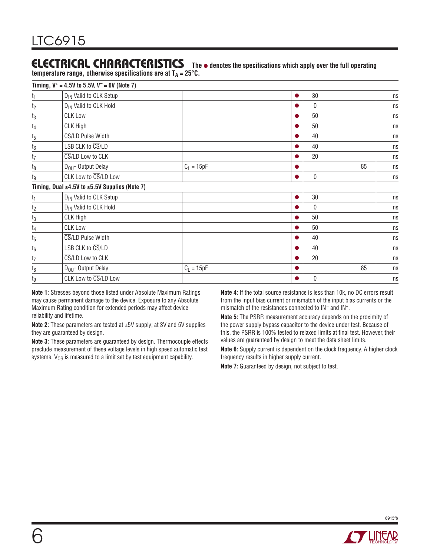**temperature range, otherwise specifications are at**  $T_A = 25^{\circ}C$ **.** 

|                  | Timing, $V^+ = 4.5V$ to 5.5V, $V^- = 0V$ (Note 7)       |              |              |    |                            |
|------------------|---------------------------------------------------------|--------------|--------------|----|----------------------------|
| $t_1$            | D <sub>IN</sub> Valid to CLK Setup                      |              | 30           |    | ns                         |
| t <sub>2</sub>   | D <sub>IN</sub> Valid to CLK Hold                       |              | $\mathbf{0}$ |    | ns                         |
| $t_3$            | <b>CLK Low</b>                                          |              | 50           |    | ns                         |
| t4               | CLK High                                                |              | 50           |    | ns                         |
| $t_5$            | CS/LD Pulse Width                                       |              | 40           |    | ns                         |
| $t_6$            | LSB CLK to CS/LD                                        |              | 40           |    | ns                         |
| t <sub>7</sub>   | CS/LD Low to CLK                                        |              | 20           |    | ns                         |
| t <sub>8</sub>   | D <sub>OUT</sub> Output Delay                           | $C_L = 15pF$ |              | 85 | ns                         |
| tg               | CLK Low to CS/LD Low                                    |              | 0            |    | ns                         |
|                  | Timing, Dual $\pm 4.5V$ to $\pm 5.5V$ Supplies (Note 7) |              |              |    |                            |
| t <sub>1</sub>   | D <sub>IN</sub> Valid to CLK Setup                      |              | 30           |    | ns                         |
| t <sub>2</sub>   | D <sub>IN</sub> Valid to CLK Hold                       |              | $\mathbf{0}$ |    | ns                         |
| $t_3$            | CLK High                                                |              | 50           |    | ns                         |
| t <sub>4</sub>   | <b>CLK Low</b>                                          |              | 50           |    | ns                         |
| $\mathfrak{t}_5$ | CS/LD Pulse Width                                       |              | 40           |    | ns                         |
| $t_6$            | LSB CLK to CS/LD                                        |              | 40           |    | ns                         |
| t <sub>7</sub>   | CS/LD Low to CLK                                        |              | 20           |    | $\ensuremath{\mathsf{ns}}$ |
| t <sub>8</sub>   | D <sub>OUT</sub> Output Delay                           | $C_L = 15pF$ |              | 85 | ns                         |
| tg               | CLK Low to CS/LD Low                                    |              | $\mathbf{0}$ |    | ns                         |

**Note 1:** Stresses beyond those listed under Absolute Maximum Ratings may cause permanent damage to the device. Exposure to any Absolute Maximum Rating condition for extended periods may affect device reliability and lifetime.

**Note 2:** These parameters are tested at ±5V supply; at 3V and 5V supplies they are guaranteed by design.

**Note 3:** These parameters are guaranteed by design. Thermocouple effects preclude measurement of these voltage levels in high speed automatic test systems.  $V_{OS}$  is measured to a limit set by test equipment capability.

**Note 4:** If the total source resistance is less than 10k, no DC errors result from the input bias current or mismatch of the input bias currents or the mismatch of the resistances connected to IN– and IN+.

**Note 5:** The PSRR measurement accuracy depends on the proximity of the power supply bypass capacitor to the device under test. Because of this, the PSRR is 100% tested to relaxed limits at final test. However, their values are guaranteed by design to meet the data sheet limits.

**Note 6:** Supply current is dependent on the clock frequency. A higher clock frequency results in higher supply current.

**Note 7:** Guaranteed by design, not subject to test.

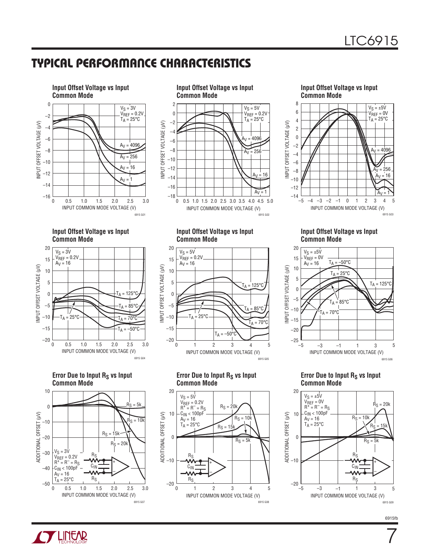### Typical Performance Characteristics



**Input Offset Voltage vs Input Common Mode**









**Input Offset Voltage vs Input Common Mode**



**Error Due to Input Rs vs Input Common Mode**









**Error Due to Input Rs vs Input Common Mode**



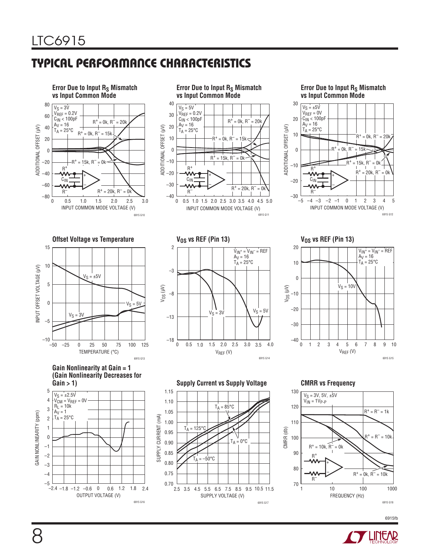### Typical Performance Characteristics



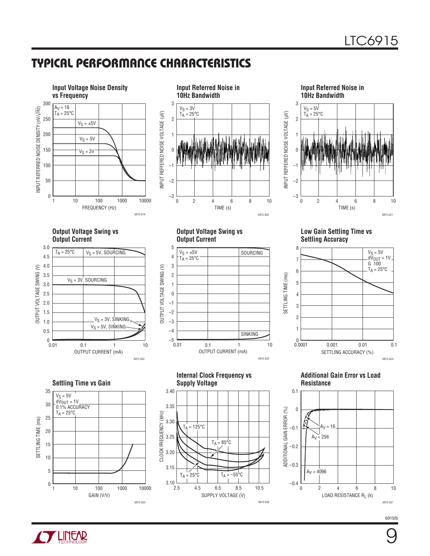### Typical Performance Characteristics





**Input Referred Noise in 10Hz Bandwidth** 3  $V_S = 5V$ 



**Output Voltage Swing vs Output Current**



**Output Voltage Swing vs Output Current**







**Additional Gain Error vs Load Resistance**



**Settling Time vs Gain** 35  $V_S = 5V$  $d\breve{V}_{OUT} = 1V$ 30 0.1% ACCURACY  $T_A = 25^{\circ}C$ 25 SETTLING TIME (ms) SETTLING TIME (ms) 20 15 10 5 0 10 100 1000 10000 1 GAIN (V/V) 6915 G25

**Internal Clock Frequency vs Supply Voltage**



6915fb

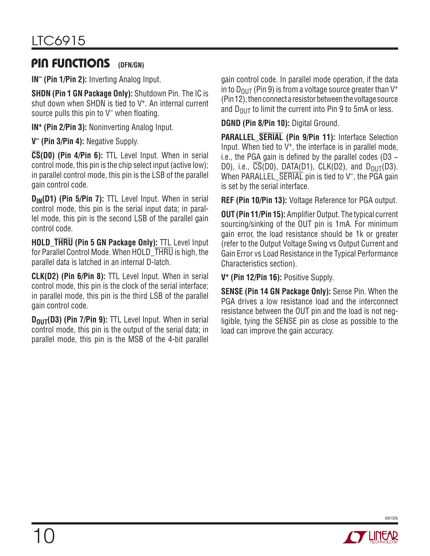#### Pin Functions **(DFN/GN)**

**IN– (Pin 1/Pin 2):** Inverting Analog Input.

**SHDN (Pin 1 GN Package Only):** Shutdown Pin. The IC is shut down when SHDN is tied to V<sup>+</sup>. An internal current source pulls this pin to  $V^-$  when floating.

**IN+ (Pin 2/Pin 3):** Noninverting Analog Input.

**V– (Pin 3/Pin 4):** Negative Supply.

**CS(D0) (Pin 4/Pin 6):** TTL Level Input. When in serial control mode, this pin is the chip select input (active low); in parallel control mode, this pin is the LSB of the parallel gain control code.

**D<sub>IN</sub>(D1) (Pin 5/Pin 7):** TTL Level Input. When in serial control mode, this pin is the serial input data; in parallel mode, this pin is the second LSB of the parallel gain control code.

**HOLD\_THRU (Pin 5 GN Package Only):** TTL Level Input for Parallel Control Mode. When HOLD THRU is high, the parallel data is latched in an internal D-latch.

**CLK(D2) (Pin 6/Pin 8):** TTL Level Input. When in serial control mode, this pin is the clock of the serial interface; in parallel mode, this pin is the third LSB of the parallel gain control code.

**D<sub>OUT</sub>(D3) (Pin 7/Pin 9):** TTL Level Input. When in serial control mode, this pin is the output of the serial data; in parallel mode, this pin is the MSB of the 4-bit parallel gain control code. In parallel mode operation, if the data in to  $D_{OUT}$  (Pin 9) is from a voltage source greater than  $V^+$ (Pin 12), then connect a resistor between the voltage source and  $D_{\text{OUT}}$  to limit the current into Pin 9 to 5mA or less.

**DGND (Pin 8/Pin 10):** Digital Ground.

**PARALLEL\_SERIAL (Pin 9/Pin 11):** Interface Selection Input. When tied to  $V^+$ , the interface is in parallel mode, i.e., the PGA gain is defined by the parallel codes (D3  $\sim$ D0), i.e.,  $\overline{CS}(D0)$ , DATA(D1), CLK(D2), and D<sub>OUT</sub>(D3). When PARALLEL  $\overline{\text{SERIAL}}$  pin is tied to  $V^-$ , the PGA gain is set by the serial interface.

**REF (Pin 10/Pin 13):** Voltage Reference for PGA output.

**OUT (Pin 11/Pin 15):** Amplifier Output. The typical current sourcing/sinking of the OUT pin is 1mA. For minimum gain error, the load resistance should be 1k or greater (refer to the Output Voltage Swing vs Output Current and Gain Error vs Load Resistance in the Typical Performance Characteristics section).

**V+ (Pin 12/Pin 16):** Positive Supply.

**SENSE (Pin 14 GN Package Only):** Sense Pin. When the PGA drives a low resistance load and the interconnect resistance between the OUT pin and the load is not negligible, tying the SENSE pin as close as possible to the load can improve the gain accuracy.

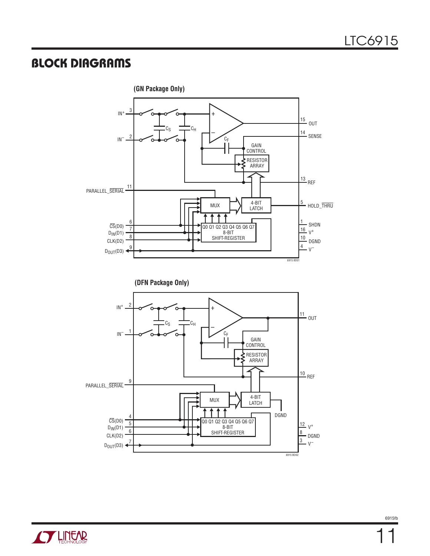### Block Diagrams



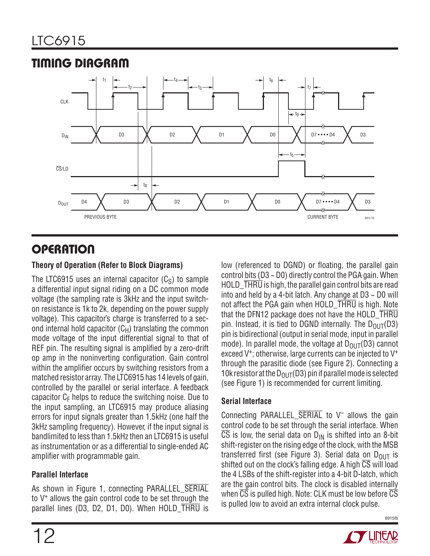

### Timing Diagram

### **OPERATION**

#### **Theory of Operation (Refer to Block Diagrams)**

The LTC6915 uses an internal capacitor  $(C<sub>S</sub>)$  to sample a differential input signal riding on a DC common mode voltage (the sampling rate is 3kHz and the input switchon resistance is 1k to 2k, depending on the power supply voltage). This capacitor's charge is transferred to a second internal hold capacitor  $(C_H)$  translating the common mode voltage of the input differential signal to that of REF pin. The resulting signal is amplified by a zero-drift op amp in the noninverting configuration. Gain control within the amplifier occurs by switching resistors from a matched resistor array. The LTC6915 has 14 levels of gain, controlled by the parallel or serial interface. A feedback capacitor  $C_F$  helps to reduce the switching noise. Due to the input sampling, an LTC6915 may produce aliasing errors for input signals greater than 1.5kHz (one half the 3kHz sampling frequency). However, if the input signal is bandlimited to less than 1.5kHz then an LTC6915 is useful as instrumentation or as a differential to single-ended AC amplifier with programmable gain.

#### **Parallel Interface**

As shown in Figure 1, connecting PARALLEL\_SERIAL to V+ allows the gain control code to be set through the parallel lines (D3, D2, D1, D0). When HOLD THRU is

low (referenced to DGND) or floating, the parallel gain control bits (D3 ~ D0) directly control the PGA gain. When HOLD\_THRU is high, the parallel gain control bits are read into and held by a 4-bit latch. Any change at  $D3 \sim D0$  will not affect the PGA gain when HOLD\_THRU is high. Note that the DFN12 package does not have the HOLD\_THRU pin. Instead, it is tied to DGND internally. The  $D_{OIII}(D3)$ pin is bidirectional (output in serial mode, input in parallel mode). In parallel mode, the voltage at  $D_{\text{OUT}}(D3)$  cannot exceed V<sup>+</sup>; otherwise, large currents can be injected to V<sup>+</sup> through the parasitic diode (see Figure 2). Connecting a 10k resistor at the  $D_{OUT}(D3)$  pin if parallel mode is selected (see Figure 1) is recommended for current limiting.

#### **Serial Interface**

Connecting PARALLEL\_SERIAL to V– allows the gain control code to be set through the serial interface. When  $\overline{CS}$  is low, the serial data on  $D_{IN}$  is shifted into an 8-bit shift-register on the rising edge of the clock, with the MSB transferred first (see Figure 3). Serial data on  $D_{OUT}$  is shifted out on the clock's falling edge. A high  $\overline{CS}$  will load the 4 LSBs of the shift-register into a 4-bit D-latch, which are the gain control bits. The clock is disabled internally when  $\overline{CS}$  is pulled high. Note: CLK must be low before  $\overline{CS}$ is pulled low to avoid an extra internal clock pulse.

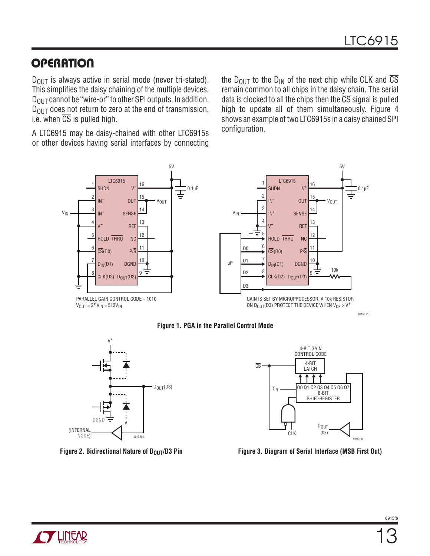### **OPERATION**

 $D_{OIII}$  is always active in serial mode (never tri-stated). This simplifies the daisy chaining of the multiple devices.  $D_{\text{OUT}}$  cannot be "wire-or" to other SPI outputs. In addition,  $D_{\text{OUT}}$  does not return to zero at the end of transmission, i.e. when  $\overline{CS}$  is pulled high.

A LTC6915 may be daisy-chained with other LTC6915s or other devices having serial interfaces by connecting the D<sub>OUT</sub> to the D<sub>IN</sub> of the next chip while CLK and  $\overline{CS}$ remain common to all chips in the daisy chain. The serial data is clocked to all the chips then the  $\overline{CS}$  signal is pulled high to update all of them simultaneously. Figure 4 shows an example of two LTC6915s in a daisy chained SPI configuration.









 **Figure 2. Bidirectional Nature of D<sub>OUT</sub>/D3 Pin Figure 3. Diagram of Serial Interface (MSB First Out)** 

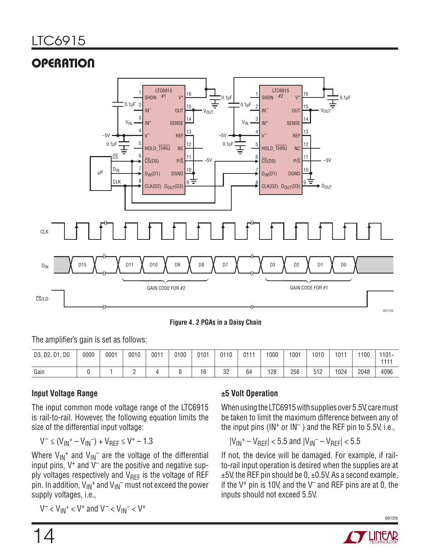# **OPERATION**



**Figure 4. 2 PGAs in a Daisy Chain**

The amplifier's gain is set as follows:

| D1, D0<br>D3, D2, | 0000 | 0001 | 0010 | $001 -$ | 0100 | 0101 | 0110 | 0111 | 000 | 1001 | 1010 | $101 -$ | 1100 | $1101 -$<br>4444 |
|-------------------|------|------|------|---------|------|------|------|------|-----|------|------|---------|------|------------------|
| Gain              |      |      |      |         |      | 16   | 32   | 64   | 128 | 256  | 512  | 1024    | 2048 | 4096             |

#### **Input Voltage Range**

The input common mode voltage range of the LTC6915 is rail-to-rail. However, the following equation limits the size of the differential input voltage:

$$
V^{-} \leq (V_{1N}^{+} - V_{1N}^{-}) + V_{REF} \leq V^{+} - 1.3
$$

Where  $V_{IN}$ <sup>+</sup> and  $V_{IN}$ <sup>-</sup> are the voltage of the differential input pins,  $V^+$  and  $V^-$  are the positive and negative supply voltages respectively and  $V_{\text{RFF}}$  is the voltage of REF pin. In addition,  $V_{IN}$ <sup>+</sup> and  $V_{IN}$ <sup>-</sup> must not exceed the power supply voltages, i.e.,

 $V^{-} < V_{1N}^{+} < V^{+}$  and  $V^{-} < V_{1N}^{-} < V^{+}$ 

#### **±5 Volt Operation**

When using the LTC6915 with supplies over 5.5V, care must be taken to limit the maximum difference between any of the input pins ( $IN^+$  or  $IN^-$ ) and the REF pin to 5.5V, i.e.,

$$
|V_{IN}^+ - V_{REF}| < 5.5 \text{ and } |V_{IN}^- - V_{REF}| < 5.5
$$

If not, the device will be damaged. For example, if railto-rail input operation is desired when the supplies are at  $±5V$ , the REF pin should be 0,  $±0.5V$ . As a second example, if the  $V^+$  pin is 10V, and the  $V^-$  and REF pins are at 0, the inputs should not exceed 5.5V.

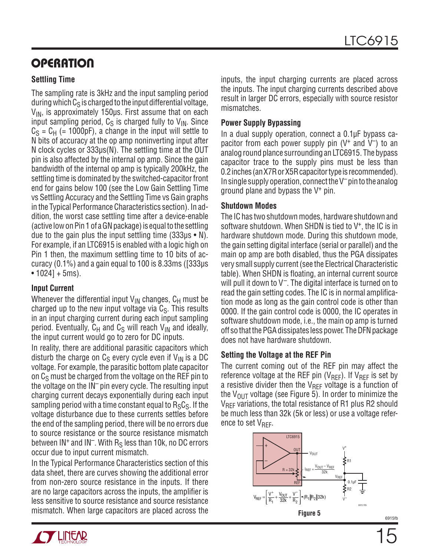### **OPERATION**

#### **Settling Time**

The sampling rate is 3kHz and the input sampling period during which  $C_S$  is charged to the input differential voltage,  $V_{IN}$ , is approximately 150 $\mu$ s. First assume that on each input sampling period,  $C_S$  is charged fully to  $V_{IN}$ . Since  $C_S = C_H$  (= 1000pF), a change in the input will settle to N bits of accuracy at the op amp noninverting input after N clock cycles or 333µs(N). The settling time at the OUT pin is also affected by the internal op amp. Since the gain bandwidth of the internal op amp is typically 200kHz, the settling time is dominated by the switched-capacitor front end for gains below 100 (see the Low Gain Settling Time vs Settling Accuracy and the Settling Time vs Gain graphs in the Typical Performance Characteristics section). In addition, the worst case settling time after a device-enable (active low on Pin 1 of a GN package) is equal to the settling due to the gain plus the input settling time  $(333\mu s \cdot N)$ . For example, if an LTC6915 is enabled with a logic high on Pin 1 then, the maximum settling time to 10 bits of accuracy (0.1%) and a gain equal to 100 is 8.33ms ([333µs  $\cdot$  1024] + 5ms).

#### **Input Current**

Whenever the differential input  $V_{IN}$  changes,  $C_H$  must be charged up to the new input voltage via  $C_{\rm S}$ . This results in an input charging current during each input sampling period. Eventually,  $C_H$  and  $C_S$  will reach  $V_{IN}$  and ideally, the input current would go to zero for DC inputs.

In reality, there are additional parasitic capacitors which disturb the charge on  $C_S$  every cycle even if  $V_{\text{IN}}$  is a DC voltage. For example, the parasitic bottom plate capacitor on  $C_S$  must be charged from the voltage on the REF pin to the voltage on the IN– pin every cycle. The resulting input charging current decays exponentially during each input sampling period with a time constant equal to  $R_S C_S$ . If the voltage disturbance due to these currents settles before the end of the sampling period, there will be no errors due to source resistance or the source resistance mismatch between IN<sup>+</sup> and IN<sup>-</sup>. With R<sub>S</sub> less than 10k, no DC errors occur due to input current mismatch.

In the Typical Performance Characteristics section of this data sheet, there are curves showing the additional error from non-zero source resistance in the inputs. If there are no large capacitors across the inputs, the amplifier is less sensitive to source resistance and source resistance mismatch. When large capacitors are placed across the inputs, the input charging currents are placed across the inputs. The input charging currents described above result in larger DC errors, especially with source resistor mismatches.

#### **Power Supply Bypassing**

In a dual supply operation, connect a 0.1µF bypass capacitor from each power supply pin  $(V^+)$  and  $V^-$ ) to an analog round plance surrounding an LTC6915. The bypass capacitor trace to the supply pins must be less than 0.2 inches (an X7R or X5R capacitor type is recommended). In single supply operation, connect the V– pin to the analog ground plane and bypass the V+ pin.

#### **Shutdown Modes**

The IC has two shutdown modes, hardware shutdown and software shutdown. When SHDN is tied to  $V^+$ , the IC is in hardware shutdown mode. During this shutdown mode, the gain setting digital interface (serial or parallel) and the main op amp are both disabled, thus the PGA dissipates very small supply current (see the Electrical Characteristic table). When SHDN is floating, an internal current source will pull it down to  $V^-$ . The digital interface is turned on to read the gain setting codes. The IC is in normal amplification mode as long as the gain control code is other than 0000. If the gain control code is 0000, the IC operates in software shutdown mode, i.e., the main op amp is turned off so that the PGA dissipates less power. The DFN package does not have hardware shutdown.

#### **Setting the Voltage at the REF Pin**

The current coming out of the REF pin may affect the reference voltage at the REF pin ( $V_{REF}$ ). If  $V_{REF}$  is set by a resistive divider then the  $V_{REF}$  voltage is a function of the  $V_{OUT}$  voltage (see Figure 5). In order to minimize the  $V_{RFF}$  variations, the total resistance of R1 plus R2 should be much less than 32k (5k or less) or use a voltage reference to set  $V_{\text{RFF}}$ .



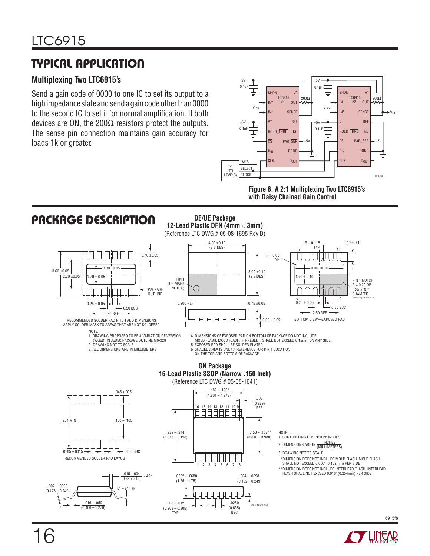### Typical Application

#### **Multiplexing Two LTC6915's**

Send a gain code of 0000 to one IC to set its output to a high impedance state and send a gain code other than 0000 to the second IC to set it for normal amplification. If both devices are ON, the 200 $\Omega$  resistors protect the outputs. The sense pin connection maintains gain accuracy for loads 1k or greater.



**Figure 6. A 2:1 Multiplexing Two LTC6915's with Daisy Chained Gain Control**



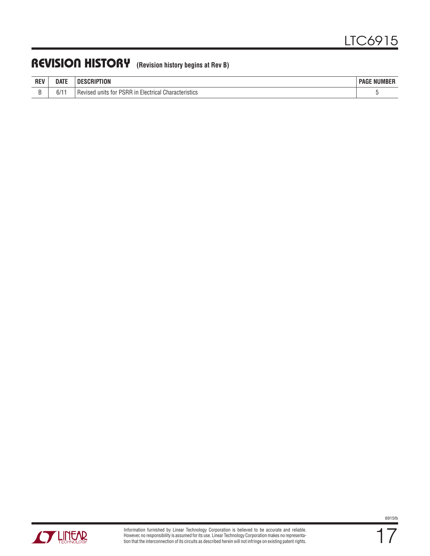### REVISION HISTORY (Revision history begins at Rev B)

| <b>REV</b> | date               | וח<br>IUN                                                                                                                               | 111100000<br>PAGE<br><b>NUMBER</b> |
|------------|--------------------|-----------------------------------------------------------------------------------------------------------------------------------------|------------------------------------|
| -          | $\sim$ $\mu$<br>11 | $\sim$<br><b>PSRR</b><br>Characteristics<br><b>RAVISA</b><br>units<br>tor.<br>ır<br>-laetries'<br>itia.<br>וסבו<br>$\mathbf{u}$<br>,,,, |                                    |